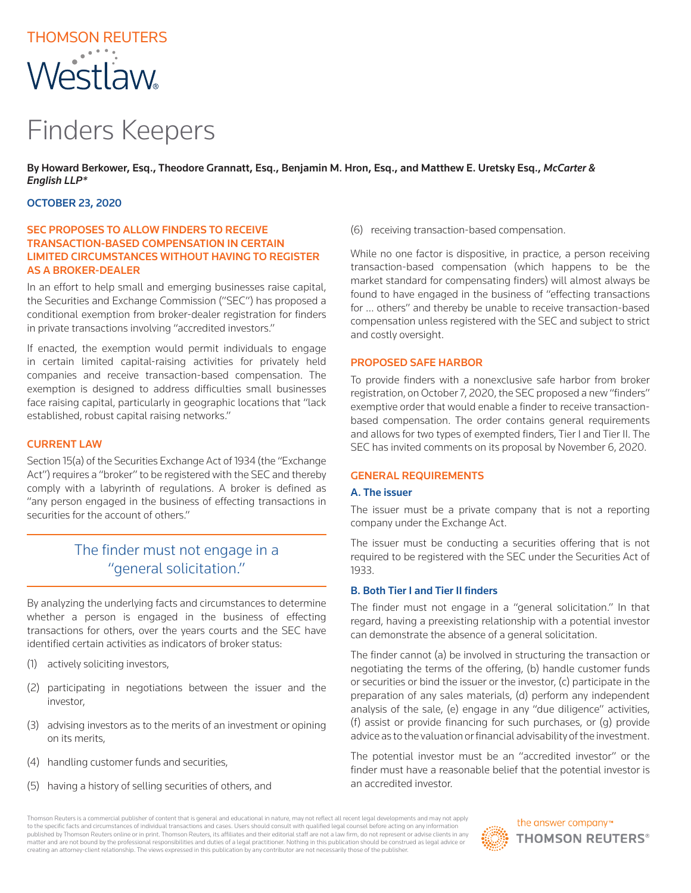# THOMSON REUTERS Westlaw

# Finders Keepers

By Howard Berkower, Esq., Theodore Grannatt, Esq., Benjamin M. Hron, Esq., and Matthew E. Uretsky Esq., *McCarter & English LLP\**

### OCTOBER 23, 2020

## SEC PROPOSES TO ALLOW FINDERS TO RECEIVE TRANSACTION-BASED COMPENSATION IN CERTAIN LIMITED CIRCUMSTANCES WITHOUT HAVING TO REGISTER AS A BROKER-DEALER

In an effort to help small and emerging businesses raise capital, the Securities and Exchange Commission ("SEC") has proposed a conditional exemption from broker-dealer registration for finders in private transactions involving "accredited investors."

If enacted, the exemption would permit individuals to engage in certain limited capital-raising activities for privately held companies and receive transaction-based compensation. The exemption is designed to address difficulties small businesses face raising capital, particularly in geographic locations that "lack established, robust capital raising networks."

#### CURRENT LAW

Section 15(a) of the Securities Exchange Act of 1934 (the "Exchange Act") requires a "broker" to be registered with the SEC and thereby comply with a labyrinth of regulations. A broker is defined as "any person engaged in the business of effecting transactions in securities for the account of others."

# The finder must not engage in a "general solicitation."

By analyzing the underlying facts and circumstances to determine whether a person is engaged in the business of effecting transactions for others, over the years courts and the SEC have identified certain activities as indicators of broker status:

- (1) actively soliciting investors,
- (2) participating in negotiations between the issuer and the investor,
- (3) advising investors as to the merits of an investment or opining on its merits,
- (4) handling customer funds and securities,
- (5) having a history of selling securities of others, and

(6) receiving transaction-based compensation.

While no one factor is dispositive, in practice, a person receiving transaction-based compensation (which happens to be the market standard for compensating finders) will almost always be found to have engaged in the business of "effecting transactions for … others" and thereby be unable to receive transaction-based compensation unless registered with the SEC and subject to strict and costly oversight.

#### PROPOSED SAFE HARBOR

To provide finders with a nonexclusive safe harbor from broker registration, on October 7, 2020, the SEC proposed a new "finders" exemptive order that would enable a finder to receive transactionbased compensation. The order contains general requirements and allows for two types of exempted finders, Tier I and Tier II. The SEC has invited comments on its proposal by November 6, 2020.

#### GENERAL REQUIREMENTS

#### A. The issuer

The issuer must be a private company that is not a reporting company under the Exchange Act.

The issuer must be conducting a securities offering that is not required to be registered with the SEC under the Securities Act of 1933.

### B. Both Tier I and Tier II finders

The finder must not engage in a "general solicitation." In that regard, having a preexisting relationship with a potential investor can demonstrate the absence of a general solicitation.

The finder cannot (a) be involved in structuring the transaction or negotiating the terms of the offering, (b) handle customer funds or securities or bind the issuer or the investor, (c) participate in the preparation of any sales materials, (d) perform any independent analysis of the sale, (e) engage in any "due diligence" activities, (f) assist or provide financing for such purchases, or (g) provide advice as to the valuation or financial advisability of the investment.

The potential investor must be an "accredited investor" or the finder must have a reasonable belief that the potential investor is an accredited investor.

Thomson Reuters is a commercial publisher of content that is general and educational in nature, may not reflect all recent legal developments and may not apply to the specific facts and circumstances of individual transactions and cases. Users should consult with qualified legal counsel before acting on any information published by Thomson Reuters online or in print. Thomson Reuters, its affiliates and their editorial staff are not a law firm, do not represent or advise clients in any matter and are not bound by the professional responsibilities and duties of a legal practitioner. Nothing in this publication should be construed as legal advice or creating an attorney-client relationship. The views expressed in this publication by any contributor are not necessarily those of the publisher.



the answer company™ **THOMSON REUTERS®**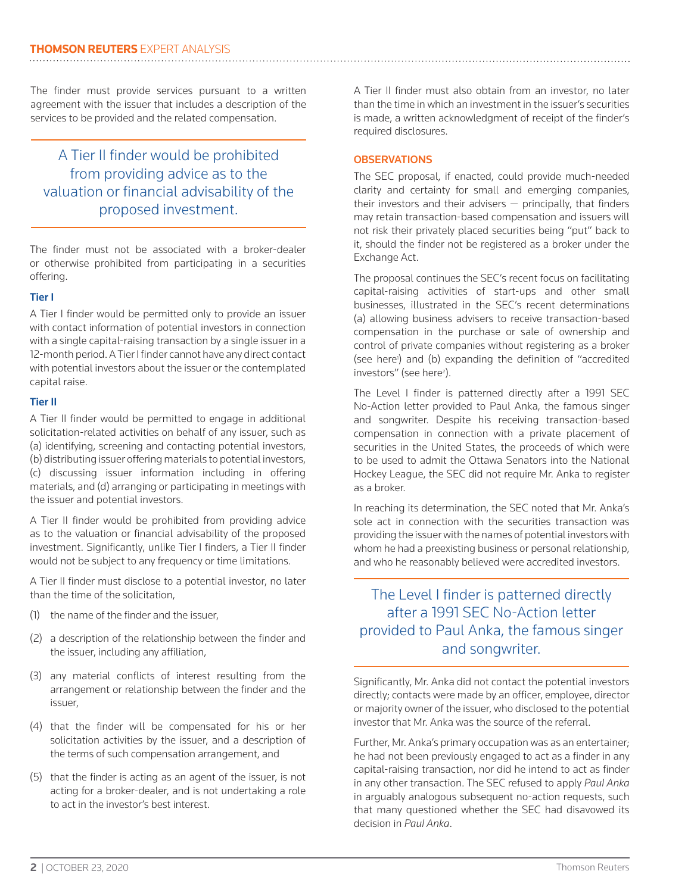The finder must provide services pursuant to a written agreement with the issuer that includes a description of the services to be provided and the related compensation.

# A Tier II finder would be prohibited from providing advice as to the valuation or financial advisability of the proposed investment.

The finder must not be associated with a broker-dealer or otherwise prohibited from participating in a securities offering.

# Tier I

A Tier I finder would be permitted only to provide an issuer with contact information of potential investors in connection with a single capital-raising transaction by a single issuer in a 12-month period. A Tier I finder cannot have any direct contact with potential investors about the issuer or the contemplated capital raise.

# Tier II

A Tier II finder would be permitted to engage in additional solicitation-related activities on behalf of any issuer, such as (a) identifying, screening and contacting potential investors, (b) distributing issuer offering materials to potential investors, (c) discussing issuer information including in offering materials, and (d) arranging or participating in meetings with the issuer and potential investors.

A Tier II finder would be prohibited from providing advice as to the valuation or financial advisability of the proposed investment. Significantly, unlike Tier I finders, a Tier II finder would not be subject to any frequency or time limitations.

A Tier II finder must disclose to a potential investor, no later than the time of the solicitation,

- (1) the name of the finder and the issuer,
- (2) a description of the relationship between the finder and the issuer, including any affiliation,
- (3) any material conflicts of interest resulting from the arrangement or relationship between the finder and the issuer,
- (4) that the finder will be compensated for his or her solicitation activities by the issuer, and a description of the terms of such compensation arrangement, and
- (5) that the finder is acting as an agent of the issuer, is not acting for a broker-dealer, and is not undertaking a role to act in the investor's best interest.

A Tier II finder must also obtain from an investor, no later than the time in which an investment in the issuer's securities is made, a written acknowledgment of receipt of the finder's required disclosures.

## **OBSERVATIONS**

The SEC proposal, if enacted, could provide much-needed clarity and certainty for small and emerging companies, their investors and their advisers — principally, that finders may retain transaction-based compensation and issuers will not risk their privately placed securities being "put" back to it, should the finder not be registered as a broker under the Exchange Act.

The proposal continues the SEC's recent focus on facilitating capital-raising activities of start-ups and other small businesses, illustrated in the SEC's recent determinations (a) allowing business advisers to receive transaction-based compensation in the purchase or sale of ownership and control of private companies without registering as a broker (see here<sup>1</sup>) and (b) expanding the definition of "accredited investors" (see here<sup>2</sup>).

The Level I finder is patterned directly after a 1991 SEC No-Action letter provided to Paul Anka, the famous singer and songwriter. Despite his receiving transaction-based compensation in connection with a private placement of securities in the United States, the proceeds of which were to be used to admit the Ottawa Senators into the National Hockey League, the SEC did not require Mr. Anka to register as a broker.

In reaching its determination, the SEC noted that Mr. Anka's sole act in connection with the securities transaction was providing the issuer with the names of potential investors with whom he had a preexisting business or personal relationship, and who he reasonably believed were accredited investors.

# The Level I finder is patterned directly after a 1991 SEC No-Action letter provided to Paul Anka, the famous singer and songwriter.

Significantly, Mr. Anka did not contact the potential investors directly; contacts were made by an officer, employee, director or majority owner of the issuer, who disclosed to the potential investor that Mr. Anka was the source of the referral.

Further, Mr. Anka's primary occupation was as an entertainer; he had not been previously engaged to act as a finder in any capital-raising transaction, nor did he intend to act as finder in any other transaction. The SEC refused to apply *Paul Anka* in arguably analogous subsequent no-action requests, such that many questioned whether the SEC had disavowed its decision in *Paul Anka*.